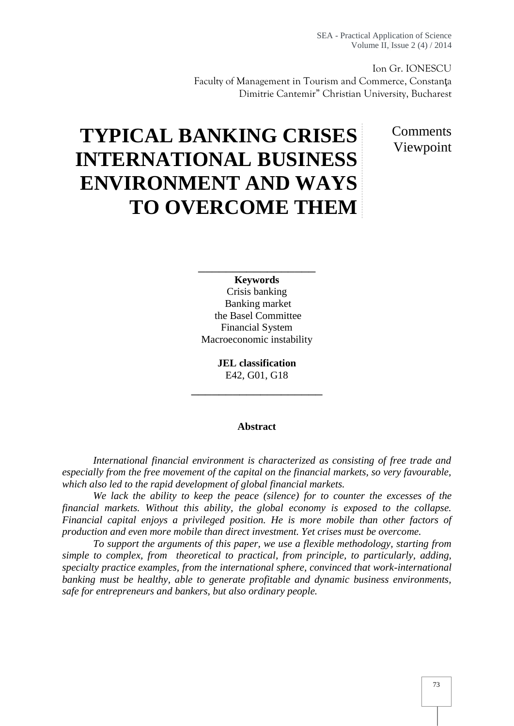SEA - Practical Application of Science Volume II, Issue 2 (4) / 2014

Ion Gr. IONESCU Faculty of Management in Tourism and Commerce, Constan a Dimitrie Cantemir" Christian University, Bucharest

> Comments Viewpoint

# **TYPICAL BANKING CRISES INTERNATIONAL BUSINESS ENVIRONMENT AND WAYS TO OVERCOME THEM**

**Keywords** Crisis banking Banking market the Basel Committee Financial System Macroeconomic instability

\_\_\_\_\_\_\_\_\_\_\_\_\_\_\_\_\_

\_\_\_\_\_\_\_\_\_\_\_\_\_\_\_\_\_\_\_

**JEL classification** E42, G01, G18

#### **Abstract**

*International financial environment is characterized as consisting of free trade and especially from the free movement of the capital on the financial markets, so very favourable, which also led to the rapid development of global financial markets.*

*We lack the ability to keep the peace (silence) for to counter the excesses of the financial markets. Without this ability, the global economy is exposed to the collapse. Financial capital enjoys a privileged position. He is more mobile than other factors of production and even more mobile than direct investment. Yet crises must be overcome.*

*To support the arguments of this paper, we use a flexible methodology, starting from simple to complex, from theoretical to practical, from principle, to particularly, adding, specialty practice examples, from the international sphere, convinced that work-international banking must be healthy, able to generate profitable and dynamic business environments, safe for entrepreneurs and bankers, but also ordinary people.*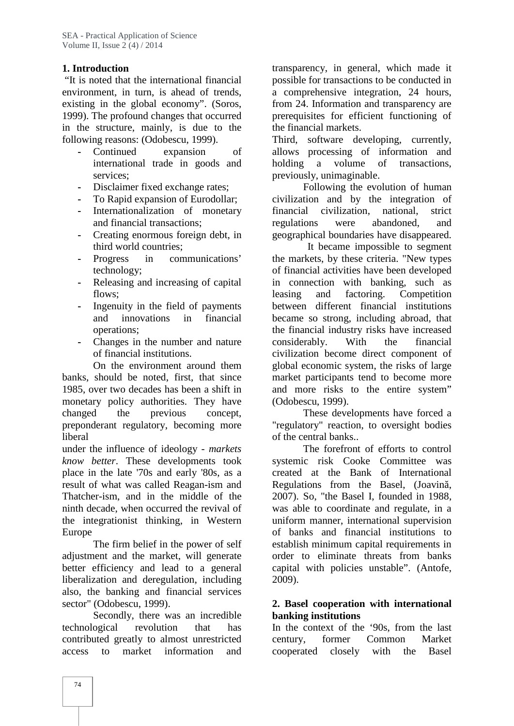# **1. Introduction**

"It is noted that the international financial environment, in turn, is ahead of trends, existing in the global economy". (Soros, 1999). The profound changes that occurred in the structure, mainly, is due to the following reasons: (Odobescu, 1999).

- **-** Continued expansion of international trade in goods and services;
- **-** Disclaimer fixed exchange rates;
- **-** To Rapid expansion of Eurodollar;
- **-** Internationalization of monetary and financial transactions;
- **-** Creating enormous foreign debt, in third world countries;
- **-** Progress in communications' technology;
- **-** Releasing and increasing of capital flows;
- **-** Ingenuity in the field of payments and innovations in financial operations;
- **-** Changes in the number and nature of financial institutions.

On the environment around them banks, should be noted, first, that since 1985, over two decades has been a shift in monetary policy authorities. They have changed the previous concept, preponderant regulatory, becoming more liberal

under the influence of ideology - *markets know better*. These developments took place in the late '70s and early '80s, as a result of what was called Reagan-ism and Thatcher-ism, and in the middle of the ninth decade, when occurred the revival of the integrationist thinking, in Western Europe

The firm belief in the power of self adjustment and the market, will generate better efficiency and lead to a general liberalization and deregulation, including also, the banking and financial services sector" (Odobescu, 1999).

Secondly, there was an incredible technological revolution that has contributed greatly to almost unrestricted access to market information and

transparency, in general, which made it possible for transactions to be conducted in a comprehensive integration, 24 hours, from 24. Information and transparency are prerequisites for efficient functioning of the financial markets.

Third, software developing, currently, allows processing of information and holding a volume of transactions, previously, unimaginable.

Following the evolution of human civilization and by the integration of financial civilization, national, strict regulations were abandoned, and geographical boundaries have disappeared.

It became impossible to segment the markets, by these criteria. "New types of financial activities have been developed in connection with banking, such as leasing and factoring. Competition between different financial institutions became so strong, including abroad, that the financial industry risks have increased considerably. With the financial civilization become direct component of global economic system, the risks of large market participants tend to become more and more risks to the entire system" (Odobescu, 1999).

These developments have forced a "regulatory" reaction, to oversight bodies of the central banks..

The forefront of efforts to control systemic risk Cooke Committee was created at the Bank of International Regulations from the Basel, (Joavin, 2007). So, "the Basel I, founded in 1988, was able to coordinate and regulate, in a uniform manner, international supervision of banks and financial institutions to establish minimum capital requirements in order to eliminate threats from banks capital with policies unstable". (Antofe, 2009).

#### **2. Basel cooperation with international banking institutions**

In the context of the '90s, from the last former Common Market cooperated closely with the Basel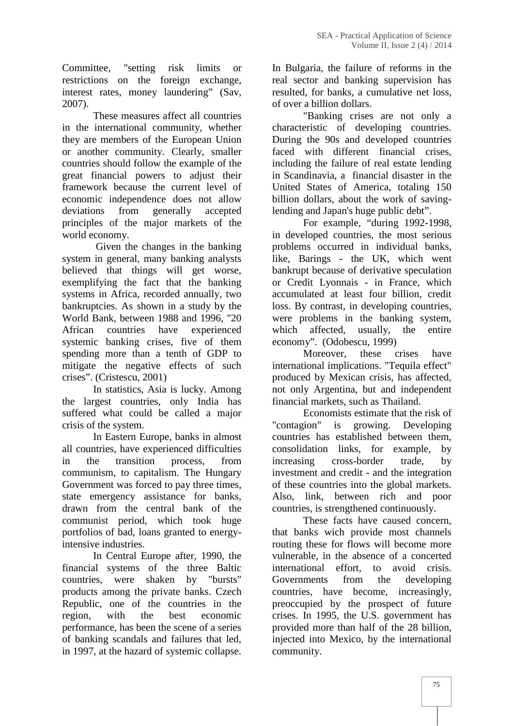Committee, "setting risk limits or restrictions on the foreign exchange, interest rates, money laundering" (Sav, 2007).

These measures affect all countries in the international community, whether they are members of the European Union or another community. Clearly, smaller countries should follow the example of the great financial powers to adjust their framework because the current level of economic independence does not allow deviations from generally accepted principles of the major markets of the world economy.

Given the changes in the banking system in general, many banking analysts believed that things will get worse, exemplifying the fact that the banking systems in Africa, recorded annually, two bankruptcies. As shown in a study by the World Bank, between 1988 and 1996, "20 African countries have experienced which systemic banking crises, five of them spending more than a tenth of GDP to mitigate the negative effects of such crises". (Cristescu, 2001)

In statistics, Asia is lucky. Among the largest countries, only India has suffered what could be called a major crisis of the system.

In Eastern Europe, banks in almost all countries, have experienced difficulties in the transition process, from communism, to capitalism. The Hungary Government was forced to pay three times, state emergency assistance for banks, drawn from the central bank of the communist period, which took huge portfolios of bad, loans granted to energyintensive industries.

In Central Europe after, 1990, the financial systems of the three Baltic countries, were shaken by "bursts" products among the private banks. Czech Republic, one of the countries in the region, with the best economic performance, has been the scene of a series of banking scandals and failures that led, in 1997, at the hazard of systemic collapse.

In Bulgaria, the failure of reforms in the real sector and banking supervision has resulted, for banks, a cumulative net loss, of over a billion dollars.

"Banking crises are not only a characteristic of developing countries. During the 90s and developed countries faced with different financial crises, including the failure of real estate lending in Scandinavia, a financial disaster in the United States of America, totaling 150 billion dollars, about the work of savinglending and Japan's huge public debt".

For example, "during 1992-1998, in developed countries, the most serious problems occurred in individual banks, like, Barings - the UK, which went bankrupt because of derivative speculation or Credit Lyonnais - in France, which accumulated at least four billion, credit loss. By contrast, in developing countries, were problems in the banking system, affected, usually, the entire economy". (Odobescu, 1999)

Moreover, these crises have international implications. "Tequila effect" produced by Mexican crisis, has affected, not only Argentina, but and independent financial markets, such as Thailand.

Economists estimate that the risk of "contagion" is growing. Developing countries has established between them, consolidation links, for example, by cross-border trade, by investment and credit - and the integration of these countries into the global markets. Also, link, between rich and poor countries, is strengthened continuously.

These facts have caused concern, that banks wich provide most channels routing these for flows will become more vulnerable, in the absence of a concerted effort, to avoid crisis. Governments from the developing countries, have become, increasingly, preoccupied by the prospect of future crises. In 1995, the U.S. government has provided more than half of the 28 billion, injected into Mexico, by the international community.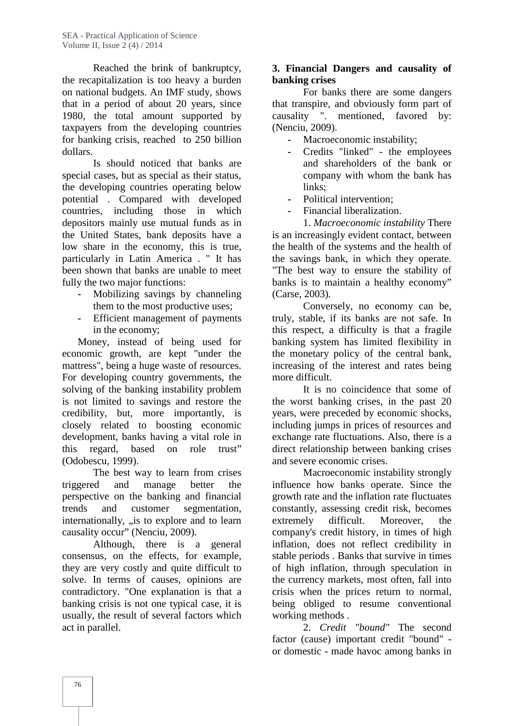Reached the brink of bankruptcy, the recapitalization is too heavy a burden on national budgets. An IMF study, shows that in a period of about 20 years, since 1980, the total amount supported by taxpayers from the developing countries for banking crisis, reached to 250 billion dollars.

Is should noticed that banks are special cases, but as special as their status, the developing countries operating below potential . Compared with developed countries, including those in which depositors mainly use mutual funds as in the United States, bank deposits have a low share in the economy, this is true, particularly in Latin America . " It has been shown that banks are unable to meet fully the two major functions:

- **-** Mobilizing savings by channeling them to the most productive uses;
- **-** Efficient management of payments in the economy;

Money, instead of being used for economic growth, are kept "under the mattress", being a huge waste of resources. For developing country governments, the solving of the banking instability problem is not limited to savings and restore the credibility, but, more importantly, is closely related to boosting economic development, banks having a vital role in this regard, based on role trust" (Odobescu, 1999).

The best way to learn from crises triggered and manage better the perspective on the banking and financial trends and customer segmentation, internationally, "is to explore and to learn causality occur" (Nenciu, 2009).

Although, there is a general consensus, on the effects, for example, they are very costly and quite difficult to solve. In terms of causes, opinions are contradictory. "One explanation is that a banking crisis is not one typical case, it is usually, the result of several factors which act in parallel.

### **3. Financial Dangers and causality of banking crises**

For banks there are some dangers that transpire, and obviously form part of causality ". mentioned, favored by: (Nenciu, 2009).

- **-** Macroeconomic instability;
- **-** Credits "linked" the employees and shareholders of the bank or company with whom the bank has links:
- **-** Political intervention;
- **-** Financial liberalization.

1. *Macroeconomic instability* There is an increasingly evident contact, between the health of the systems and the health of the savings bank, in which they operate. "The best way to ensure the stability of banks is to maintain a healthy economy" (Carse, 2003)*.*

Conversely, no economy can be, truly, stable, if its banks are not safe. In this respect, a difficulty is that a fragile banking system has limited flexibility in the monetary policy of the central bank, increasing of the interest and rates being more difficult.

It is no coincidence that some of the worst banking crises, in the past 20 years, were preceded by economic shocks, including jumps in prices of resources and exchange rate fluctuations. Also, there is a direct relationship between banking crises and severe economic crises.

Macroeconomic instability strongly influence how banks operate. Since the growth rate and the inflation rate fluctuates constantly, assessing credit risk, becomes extremely difficult. Moreover, the company's credit history, in times of high inflation, does not reflect credibility in stable periods . Banks that survive in times of high inflation, through speculation in the currency markets, most often, fall into crisis when the prices return to normal, being obliged to resume conventional working methods .

2. *Credit "bound"* The second factor (cause) important credit "bound" or domestic - made havoc among banks in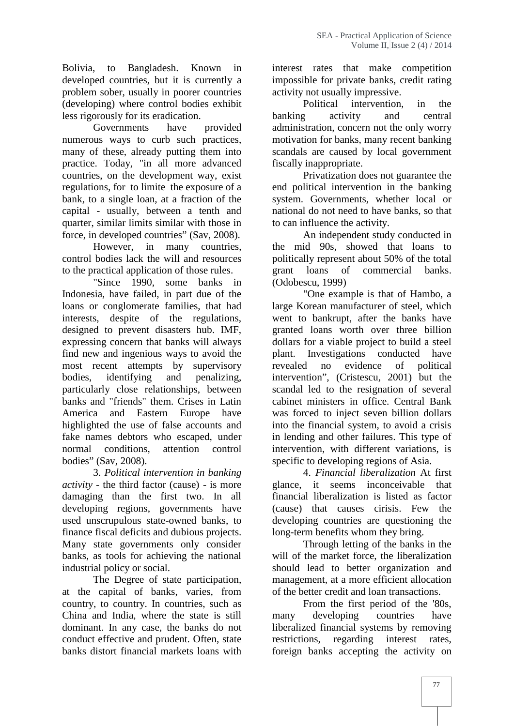Bolivia, to Bangladesh. Known in developed countries, but it is currently a problem sober, usually in poorer countries (developing) where control bodies exhibit less rigorously for its eradication.

Governments have provided numerous ways to curb such practices, many of these, already putting them into practice. Today, "in all more advanced countries, on the development way, exist regulations, for to limite the exposure of a bank, to a single loan, at a fraction of the capital - usually, between a tenth and quarter, similar limits similar with those in force, in developed countries" (Sav, 2008).

However, in many countries, control bodies lack the will and resources to the practical application of those rules.

"Since 1990, some banks in Indonesia, have failed, in part due of the loans or conglomerate families, that had interests, despite of the regulations, designed to prevent disasters hub. IMF, expressing concern that banks will always find new and ingenious ways to avoid the most recent attempts by supervisory bodies, identifying and penalizing, particularly close relationships, between banks and "friends" them. Crises in Latin America and Eastern Europe have highlighted the use of false accounts and fake names debtors who escaped, under normal conditions, attention control bodies" (Sav, 2008).

3. *Political intervention in banking activity -* the third factor (cause) - is more damaging than the first two. In all developing regions, governments have used unscrupulous state-owned banks, to finance fiscal deficits and dubious projects. Many state governments only consider banks, as tools for achieving the national industrial policy or social.

The Degree of state participation, at the capital of banks, varies, from country, to country. In countries, such as China and India, where the state is still dominant. In any case, the banks do not conduct effective and prudent. Often, state banks distort financial markets loans with

interest rates that make competition impossible for private banks, credit rating activity not usually impressive.

Political intervention, in the banking activity and central administration, concern not the only worry motivation for banks, many recent banking scandals are caused by local government fiscally inappropriate.

Privatization does not guarantee the end political intervention in the banking system. Governments, whether local or national do not need to have banks, so that to can influence the activity.

An independent study conducted in the mid 90s, showed that loans to politically represent about 50% of the total grant loans of commercial banks. (Odobescu, 1999)

"One example is that of Hambo, a large Korean manufacturer of steel, which went to bankrupt, after the banks have granted loans worth over three billion dollars for a viable project to build a steel Investigations conducted have no evidence of political intervention", (Cristescu, 2001) but the scandal led to the resignation of several cabinet ministers in office. Central Bank was forced to inject seven billion dollars into the financial system, to avoid a crisis in lending and other failures. This type of intervention, with different variations, is specific to developing regions of Asia.

4. *Financial liberalization* At first glance, it seems inconceivable that financial liberalization is listed as factor (cause) that causes cirisis. Few the developing countries are questioning the long-term benefits whom they bring.

Through letting of the banks in the will of the market force, the liberalization should lead to better organization and management, at a more efficient allocation of the better credit and loan transactions.

From the first period of the '80s, many developing countries have liberalized financial systems by removing restrictions, regarding interest rates, foreign banks accepting the activity on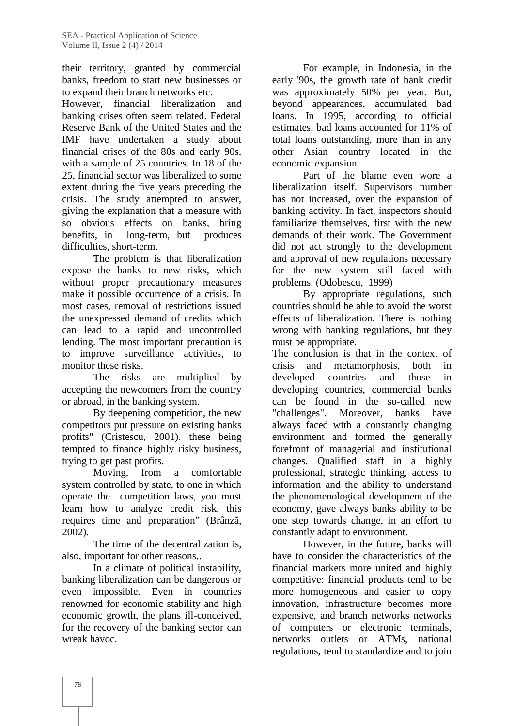their territory, granted by commercial banks, freedom to start new businesses or to expand their branch networks etc.

However, financial liberalization and banking crises often seem related. Federal Reserve Bank of the United States and the IMF have undertaken a study about financial crises of the 80s and early 90s, with a sample of 25 countries. In 18 of the 25, financial sector was liberalized to some extent during the five years preceding the crisis. The study attempted to answer, giving the explanation that a measure with so obvious effects on banks, bring benefits, in long-term, but produces difficulties, short-term.

The problem is that liberalization expose the banks to new risks, which without proper precautionary measures make it possible occurrence of a crisis. In most cases, removal of restrictions issued the unexpressed demand of credits which can lead to a rapid and uncontrolled lending. The most important precaution is to improve surveillance activities, to monitor these risks.

The risks are multiplied by accepting the newcomers from the country or abroad, in the banking system.

By deepening competition, the new competitors put pressure on existing banks profits" (Cristescu, 2001). these being tempted to finance highly risky business, trying to get past profits.

Moving, from a comfortable system controlled by state, to one in which operate the competition laws, you must learn how to analyze credit risk, this requires time and preparation" (Brânz, 2002).

The time of the decentralization is. also, important for other reasons,.

In a climate of political instability, banking liberalization can be dangerous or even impossible. Even in countries renowned for economic stability and high economic growth, the plans ill-conceived, for the recovery of the banking sector can wreak havoc.

For example, in Indonesia, in the early '90s, the growth rate of bank credit was approximately 50% per year. But, beyond appearances, accumulated bad loans. In 1995, according to official estimates, bad loans accounted for 11% of total loans outstanding, more than in any other Asian country located in the economic expansion.

Part of the blame even wore a liberalization itself. Supervisors number has not increased, over the expansion of banking activity. In fact, inspectors should familiarize themselves, first with the new demands of their work. The Government did not act strongly to the development and approval of new regulations necessary for the new system still faced with problems. (Odobescu, 1999)

By appropriate regulations, such countries should be able to avoid the worst effects of liberalization. There is nothing wrong with banking regulations, but they must be appropriate.

The conclusion is that in the context of crisis and metamorphosis, both in developed countries and those in developing countries, commercial banks can be found in the so-called new "challenges". Moreover, banks have always faced with a constantly changing environment and formed the generally forefront of managerial and institutional changes. Qualified staff in a highly professional, strategic thinking, access to information and the ability to understand the phenomenological development of the economy, gave always banks ability to be one step towards change, in an effort to constantly adapt to environment.

However, in the future, banks will have to consider the characteristics of the financial markets more united and highly competitive: financial products tend to be more homogeneous and easier to copy innovation, infrastructure becomes more expensive, and branch networks networks of computers or electronic terminals, networks outlets or ATMs, national regulations, tend to standardize and to join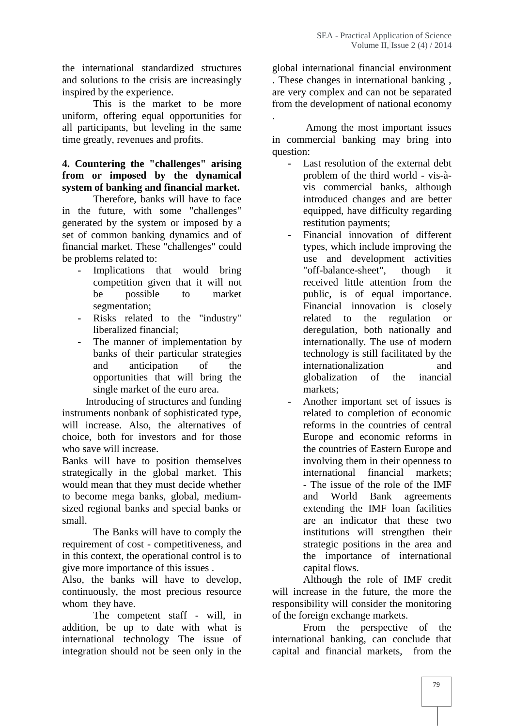the international standardized structures and solutions to the crisis are increasingly inspired by the experience.

This is the market to be more uniform, offering equal opportunities for all participants, but leveling in the same time greatly, revenues and profits.

# **4. Countering the "challenges" arising from or imposed by the dynamical system of banking and financial market.**

Therefore, banks will have to face in the future, with some "challenges" generated by the system or imposed by a set of common banking dynamics and of financial market. These "challenges" could be problems related to:

- **-** Implications that would bring competition given that it will not be possible to market segmentation;
- **-** Risks related to the "industry" liberalized financial;
- The manner of implementation by banks of their particular strategies and anticipation of the opportunities that will bring the single market of the euro area.

Introducing of structures and funding instruments nonbank of sophisticated type, will increase. Also, the alternatives of choice, both for investors and for those who save will increase.

Banks will have to position themselves strategically in the global market. This would mean that they must decide whether to become mega banks, global, medium sized regional banks and special banks or small.

The Banks will have to comply the requirement of cost - competitiveness, and in this context, the operational control is to give more importance of this issues .

Also, the banks will have to develop, continuously, the most precious resource whom they have.

The competent staff - will, in addition, be up to date with what is international technology The issue of integration should not be seen only in the global international financial environment . These changes in international banking , are very complex and can not be separated from the development of national economy .

Among the most important issues in commercial banking may bring into question:

- **-** Last resolution of the external debt problem of the third world - vis-à vis commercial banks, although introduced changes and are better equipped, have difficulty regarding restitution payments;
- **-** Financial innovation of different types, which include improving the use and development activities "off-balance-sheet", though it received little attention from the public, is of equal importance. Financial innovation is closely related to the regulation or deregulation, both nationally and internationally. The use of modern technology is still facilitated by the internationalization and globalization of the inancial markets;
- **-** Another important set of issues is related to completion of economic reforms in the countries of central Europe and economic reforms in the countries of Eastern Europe and involving them in their openness to international financial markets; - The issue of the role of the IMF and World Bank agreements extending the IMF loan facilities are an indicator that these two institutions will strengthen their strategic positions in the area and the importance of international capital flows.

Although the role of IMF credit will increase in the future, the more the responsibility will consider the monitoring of the foreign exchange markets.

From the perspective of the international banking, can conclude that capital and financial markets, from the